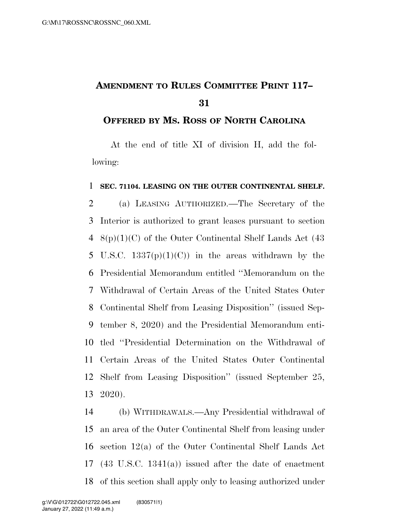## **AMENDMENT TO RULES COMMITTEE PRINT 117–**

## **OFFERED BY MS. ROSS OF NORTH CAROLINA**

At the end of title XI of division H, add the following:

## **SEC. 71104. LEASING ON THE OUTER CONTINENTAL SHELF.**

 (a) LEASING AUTHORIZED.—The Secretary of the Interior is authorized to grant leases pursuant to section  $8(p)(1)(C)$  of the Outer Continental Shelf Lands Act (43) 5 U.S.C.  $1337(p)(1)(C)$  in the areas withdrawn by the Presidential Memorandum entitled ''Memorandum on the Withdrawal of Certain Areas of the United States Outer Continental Shelf from Leasing Disposition'' (issued Sep- tember 8, 2020) and the Presidential Memorandum enti- tled ''Presidential Determination on the Withdrawal of Certain Areas of the United States Outer Continental Shelf from Leasing Disposition'' (issued September 25, 2020).

 (b) WITHDRAWALS.—Any Presidential withdrawal of an area of the Outer Continental Shelf from leasing under section 12(a) of the Outer Continental Shelf Lands Act (43 U.S.C. 1341(a)) issued after the date of enactment of this section shall apply only to leasing authorized under